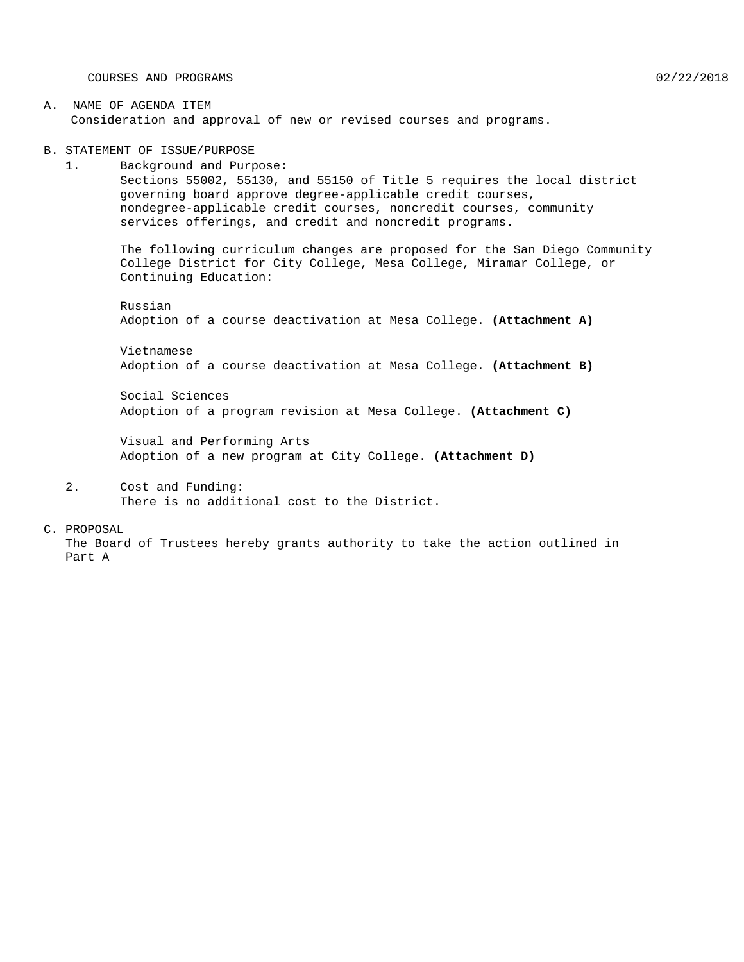COURSES AND PROGRAMS 02/22/2018

#### A. NAME OF AGENDA ITEM Consideration and approval of new or revised courses and programs.

B. STATEMENT OF ISSUE/PURPOSE

1. Background and Purpose: Sections 55002, 55130, and 55150 of Title 5 requires the local district governing board approve degree-applicable credit courses, nondegree-applicable credit courses, noncredit courses, community services offerings, and credit and noncredit programs.

The following curriculum changes are proposed for the San Diego Community College District for City College, Mesa College, Miramar College, or Continuing Education:

Russian Adoption of a course deactivation at Mesa College. **(Attachment A)**

Vietnamese Adoption of a course deactivation at Mesa College. **(Attachment B)**

Social Sciences Adoption of a program revision at Mesa College. **(Attachment C)**

Visual and Performing Arts Adoption of a new program at City College. **(Attachment D)**

#### 2. Cost and Funding: There is no additional cost to the District.

#### C. PROPOSAL

The Board of Trustees hereby grants authority to take the action outlined in Part A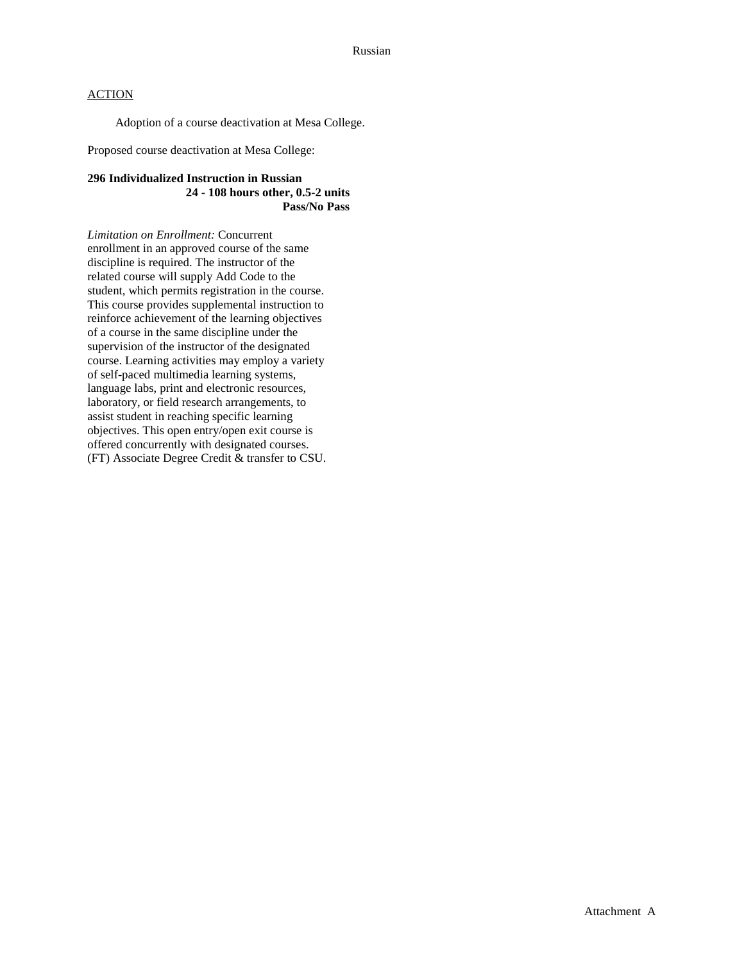## **ACTION**

Adoption of a course deactivation at Mesa College.

Proposed course deactivation at Mesa College:

#### **296 Individualized Instruction in Russian 24 - 108 hours other, 0.5-2 units Pass/No Pass**

*Limitation on Enrollment:* Concurrent enrollment in an approved course of the same discipline is required. The instructor of the related course will supply Add Code to the student, which permits registration in the course. This course provides supplemental instruction to reinforce achievement of the learning objectives of a course in the same discipline under the supervision of the instructor of the designated course. Learning activities may employ a variety of self-paced multimedia learning systems, language labs, print and electronic resources, laboratory, or field research arrangements, to assist student in reaching specific learning objectives. This open entry/open exit course is offered concurrently with designated courses. (FT) Associate Degree Credit & transfer to CSU.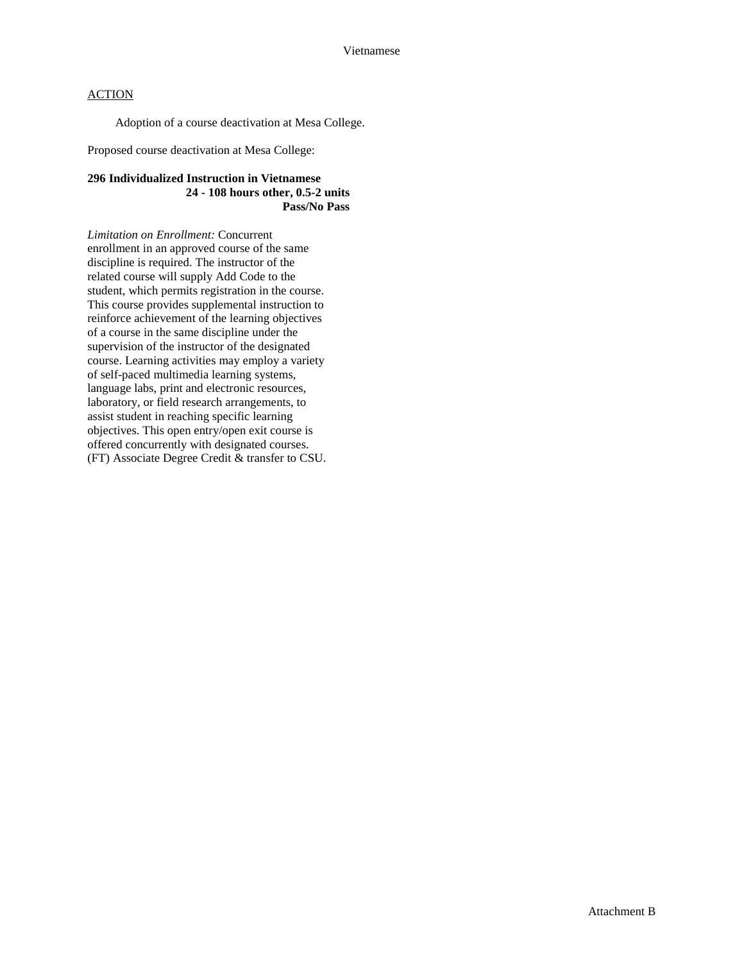## **ACTION**

Adoption of a course deactivation at Mesa College.

Proposed course deactivation at Mesa College:

#### **296 Individualized Instruction in Vietnamese 24 - 108 hours other, 0.5-2 units Pass/No Pass**

*Limitation on Enrollment:* Concurrent enrollment in an approved course of the same discipline is required. The instructor of the related course will supply Add Code to the student, which permits registration in the course. This course provides supplemental instruction to reinforce achievement of the learning objectives of a course in the same discipline under the supervision of the instructor of the designated course. Learning activities may employ a variety of self-paced multimedia learning systems, language labs, print and electronic resources, laboratory, or field research arrangements, to assist student in reaching specific learning objectives. This open entry/open exit course is offered concurrently with designated courses. (FT) Associate Degree Credit & transfer to CSU.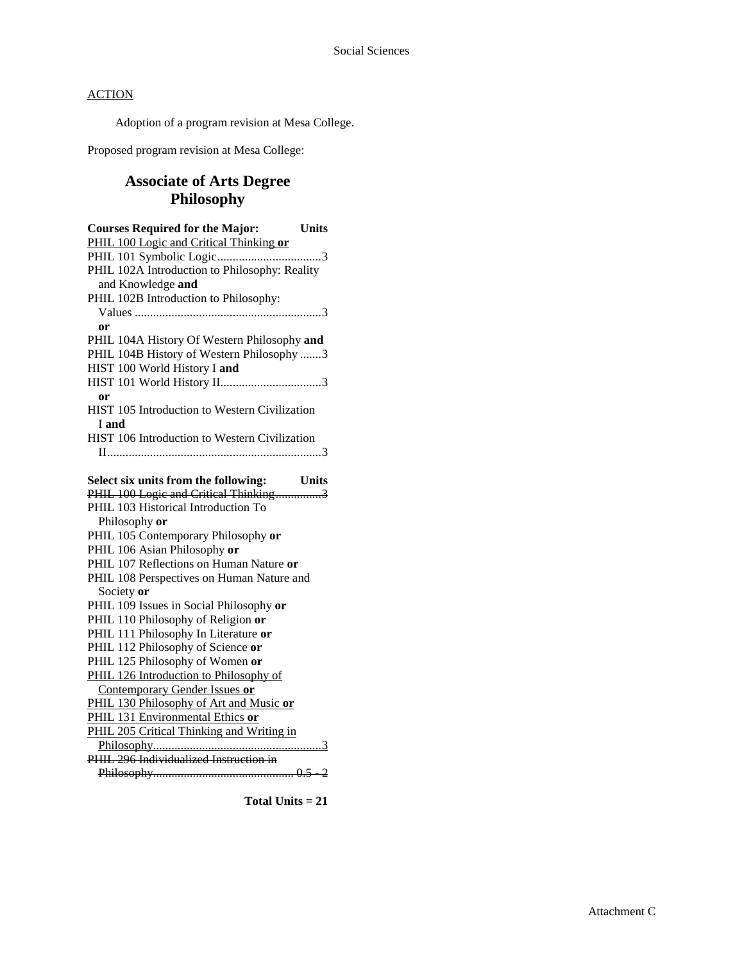## **ACTION**

Adoption of a program revision at Mesa College.

Proposed program revision at Mesa College:

# **Associate of Arts Degree Philosophy**

| <b>Courses Required for the Major:</b><br><b>Units</b> |  |
|--------------------------------------------------------|--|
| PHIL 100 Logic and Critical Thinking or                |  |
|                                                        |  |
| PHIL 102A Introduction to Philosophy: Reality          |  |
| and Knowledge and                                      |  |
| PHIL 102B Introduction to Philosophy:                  |  |
|                                                        |  |
| or                                                     |  |
| PHIL 104A History Of Western Philosophy and            |  |
| PHIL 104B History of Western Philosophy 3              |  |
| HIST 100 World History I and                           |  |
|                                                        |  |
| or                                                     |  |
| HIST 105 Introduction to Western Civilization          |  |
| I and                                                  |  |
| HIST 106 Introduction to Western Civilization          |  |
|                                                        |  |
|                                                        |  |
| Select six units from the following:<br><b>Units</b>   |  |
| PHIL 100 Logic and Critical Thinking3                  |  |
| PHIL 103 Historical Introduction To                    |  |
| Philosophy or                                          |  |
| PHIL 105 Contemporary Philosophy or                    |  |
| PHIL 106 Asian Philosophy or                           |  |
| PHIL 107 Reflections on Human Nature or                |  |
| PHIL 108 Perspectives on Human Nature and              |  |
| Society or                                             |  |
| PHIL 109 Issues in Social Philosophy or                |  |
| PHIL 110 Philosophy of Religion or                     |  |
| PHIL 111 Philosophy In Literature or                   |  |
| PHIL 112 Philosophy of Science or                      |  |
| PHIL 125 Philosophy of Women or                        |  |
| PHIL 126 Introduction to Philosophy of                 |  |
| Contemporary Gender Issues or                          |  |
| PHIL 130 Philosophy of Art and Music or                |  |
| PHIL 131 Environmental Ethics or                       |  |
| PHIL 205 Critical Thinking and Writing in              |  |
|                                                        |  |
| PHIL 296 Individualized Instruction in                 |  |
|                                                        |  |

**Total Units = 21**